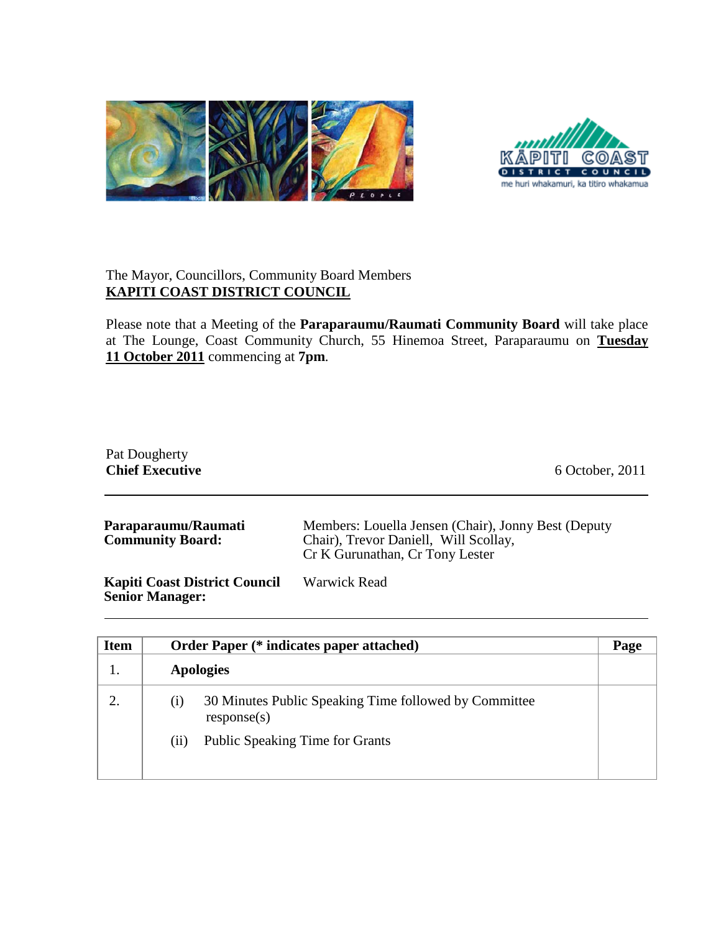



## The Mayor, Councillors, Community Board Members **KAPITI COAST DISTRICT COUNCIL**

Please note that a Meeting of the **Paraparaumu/Raumati Community Board** will take place at The Lounge, Coast Community Church, 55 Hinemoa Street, Paraparaumu on *U***Tuesday 11 October 2011** commencing at 7pm.

| Pat Dougherty<br><b>Chief Executive</b>        | 6 October, 2011                                                                                                                 |
|------------------------------------------------|---------------------------------------------------------------------------------------------------------------------------------|
| Paraparaumu/Raumati<br><b>Community Board:</b> | Members: Louella Jensen (Chair), Jonny Best (Deputy<br>Chair), Trevor Daniell, Will Scollay,<br>Cr K Gurunathan, Cr Tony Lester |
| <b>Kapiti Coast District Council</b>           | <b>Warwick Read</b>                                                                                                             |

**Kapiti Coast District Council Senior Manager:**

| <b>Item</b> |     | <b>Order Paper</b> (* indicates paper attached)                      | Page |
|-------------|-----|----------------------------------------------------------------------|------|
| 1.          |     | <b>Apologies</b>                                                     |      |
| 2.          | (i) | 30 Minutes Public Speaking Time followed by Committee<br>response(s) |      |
|             | (i) | <b>Public Speaking Time for Grants</b>                               |      |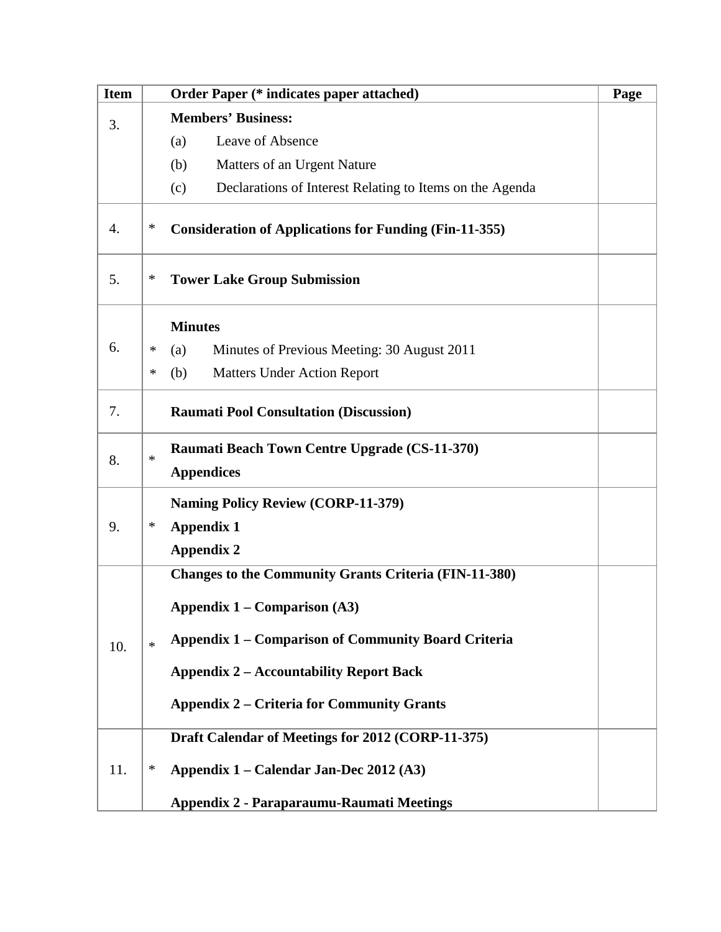| <b>Item</b> | <b>Order Paper (* indicates paper attached)</b><br>Page                                                                                                                                                                                                                            |  |
|-------------|------------------------------------------------------------------------------------------------------------------------------------------------------------------------------------------------------------------------------------------------------------------------------------|--|
| 3.          | <b>Members' Business:</b>                                                                                                                                                                                                                                                          |  |
|             | Leave of Absence<br>(a)                                                                                                                                                                                                                                                            |  |
|             | Matters of an Urgent Nature<br>(b)                                                                                                                                                                                                                                                 |  |
|             | Declarations of Interest Relating to Items on the Agenda<br>(c)                                                                                                                                                                                                                    |  |
| 4.          | ∗<br><b>Consideration of Applications for Funding (Fin-11-355)</b>                                                                                                                                                                                                                 |  |
| 5.          | ∗<br><b>Tower Lake Group Submission</b>                                                                                                                                                                                                                                            |  |
|             | <b>Minutes</b>                                                                                                                                                                                                                                                                     |  |
| 6.          | Minutes of Previous Meeting: 30 August 2011<br>∗<br>(a)                                                                                                                                                                                                                            |  |
|             | <b>Matters Under Action Report</b><br>∗<br>(b)                                                                                                                                                                                                                                     |  |
| 7.          | <b>Raumati Pool Consultation (Discussion)</b>                                                                                                                                                                                                                                      |  |
| 8.          | <b>Raumati Beach Town Centre Upgrade (CS-11-370)</b><br>$\ast$<br><b>Appendices</b>                                                                                                                                                                                                |  |
| 9.          | <b>Naming Policy Review (CORP-11-379)</b><br><b>Appendix 1</b><br>∗<br><b>Appendix 2</b>                                                                                                                                                                                           |  |
| 10.         | <b>Changes to the Community Grants Criteria (FIN-11-380)</b><br><b>Appendix 1 – Comparison (A3)</b><br><b>Appendix 1 – Comparison of Community Board Criteria</b><br>$\ast$<br><b>Appendix 2 - Accountability Report Back</b><br><b>Appendix 2 – Criteria for Community Grants</b> |  |
| 11.         | Draft Calendar of Meetings for 2012 (CORP-11-375)<br>∗<br>Appendix 1 – Calendar Jan-Dec 2012 (A3)<br>Appendix 2 - Paraparaumu-Raumati Meetings                                                                                                                                     |  |